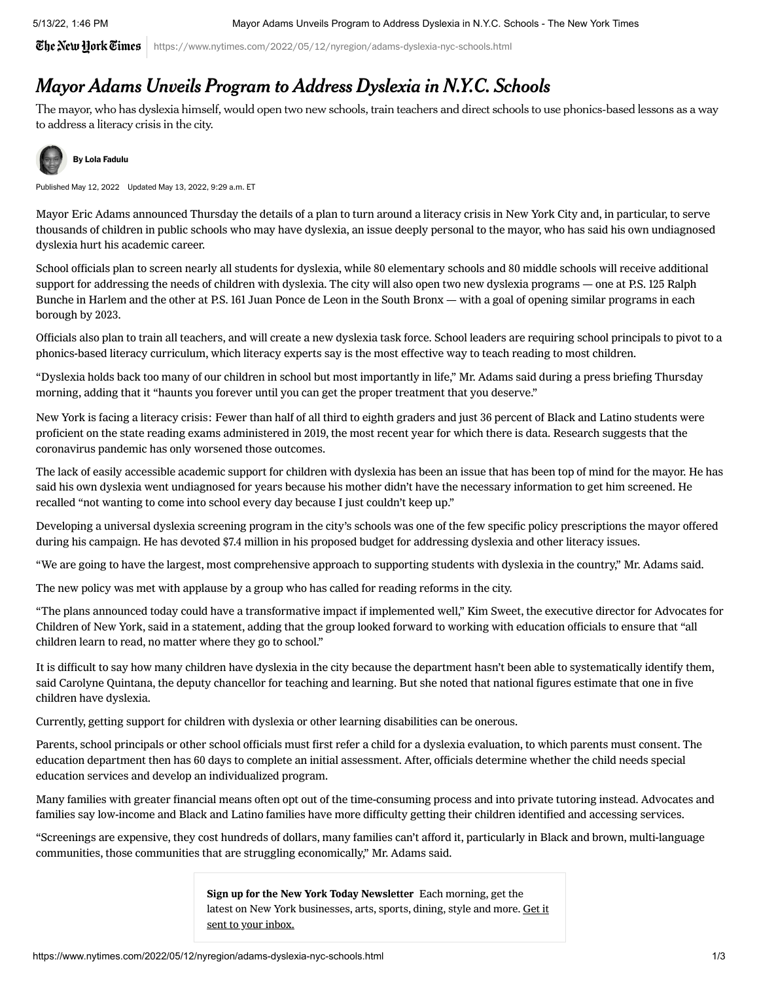$\widetilde{\mathfrak{C}}$ he $\mathfrak{N}$ ew Hork $\widetilde{\mathfrak{C}}$ imes  $|$  https://www.nytimes.com/2022/05/12/nyregion/adams-dyslexia-nyc-schools.html

## Mayor Adams Unveils Program to Address Dyslexia in N.Y.C. Schools

The mayor, who has dyslexia himself, would open two new schools, train teachers and direct schools to use phonics-based lessons as a way to address a literacy crisis in the city.



## [B](https://www.nytimes.com/by/lola-fadulu)y [Lola Fadulu](https://www.nytimes.com/by/lola-fadulu)

Published May 12, 2022 Updated May 13, 2022, 9:29 a.m. ET

Mayor Eric Adams announced Thursday the details of a plan to turn around a literacy crisis in New York City and, in particular, to serve thousands of children in public schools who may have dyslexia, an issue deeply personal to the mayor, who has said his own undiagnosed dyslexia hurt his academic career.

School officials plan to screen nearly all students for dyslexia, while 80 elementary schools and 80 middle schools will receive additional support for addressing the needs of children with dyslexia. The city will also open two new dyslexia programs — one at P.S. 125 Ralph Bunche in Harlem and the other at P.S. 161 Juan Ponce de Leon in the South Bronx — with a goal of opening similar programs in each borough by 2023.

Officials also plan to train all teachers, and will create a new dyslexia task force. School leaders are requiring school principals to pivot to a phonics-based literacy curriculum, which literacy experts say is the most effective way to teach reading to most children.

"Dyslexia holds back too many of our children in school but most importantly in life," Mr. Adams said during a press briefing Thursday morning, adding that it "haunts you forever until you can get the proper treatment that you deserve."

New York is facing a literacy crisis: Fewer than half of all third to eighth graders and just 36 percent of Black and Latino students were proficient on the state reading exams [administered](https://infohub.nyced.org/reports/academics/test-results) in 2019, the most recent year for which there is data. Research suggests that the coronavirus pandemic has only worsened those outcomes.

The lack of easily accessible academic support for children with dyslexia has been an issue that has been top of mind for the mayor. He has said his own dyslexia went undiagnosed for years because his mother didn't have the necessary information to get him screened. He recalled "not wanting to come into school every day because I just couldn't keep up."

Developing a universal dyslexia [screening](https://www.nytimes.com/2021/10/23/nyregion/eric-adams-mayor-nyc.html) program in the city's schools was one of the few specific policy prescriptions the mayor offered during his campaign. He has devoted \$7.4 million in his proposed budget for addressing dyslexia and other literacy issues.

"We are going to have the largest, most comprehensive approach to supporting students with dyslexia in the country," Mr. Adams said.

The new policy was met with applause by a group who has called for reading reforms in the city.

"The plans announced today could have a transformative impact if implemented well," Kim Sweet, the executive director for Advocates for Children of New York, said in a statement, adding that the group looked forward to working with education officials to ensure that "all children learn to read, no matter where they go to school."

It is difficult to say how many children have dyslexia in the city because the department hasn't been able to systematically identify them, said Carolyne Quintana, the deputy [chancellor](https://www.ncld.org/news/newsroom/the-state-of-ld-understanding-the-1-in-5/#:~:text=One%20in%20five%20children%20in,difficulties%2C%20and%2033%20percent%20of) for teaching and learning. But she noted that national figures estimate that one in five children have dyslexia.

Currently, getting support for children with dyslexia or other learning disabilities can be onerous.

Parents, school principals or other school officials [must](https://www.schools.nyc.gov/docs/default-source/default-document-library/family-guide-to-special-education-school-age-services-english) first refer a child for a dyslexia evaluation, to which parents must consent. The education department then has 60 days to complete an initial assessment. After, officials determine whether the child needs special education services and develop an individualized program.

Many families with greater financial means often opt out of the time-consuming process and into private tutoring instead. Advocates and families say low-income and Black and Latino families have more difficulty getting their children identified and accessing services.

"Screenings are expensive, they cost hundreds of dollars, many families can't afford it, particularly in Black and brown, multi-language communities, those communities that are struggling economically," Mr. Adams said.

> Sign up for the New York Today Newsletter Each morning, get the latest on New York businesses, arts, sports, dining, style and more. Get it sent to your inbox.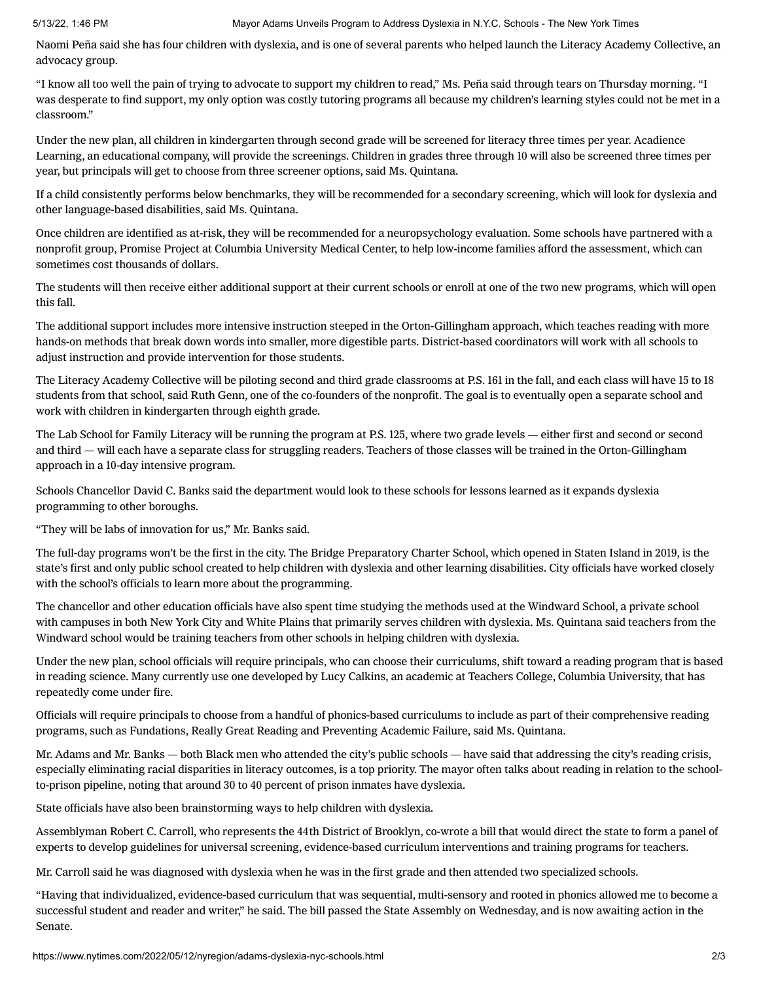Naomi Peña said she has four children with dyslexia, and is one of several parents who helped launch the Literacy Academy Collective, an advocacy group.

"I know all too well the pain of trying to advocate to support my children to read," Ms. Peña said through tears on Thursday morning. "I was desperate to find support, my only option was costly tutoring programs all because my children's learning styles could not be met in a classroom."

Under the new plan, all children in kindergarten through second grade will be screened for literacy three times per year. Acadience Learning, an educational company, will provide the screenings. Children in grades three through 10 will also be screened three times per year, but principals will get to choose from three screener options, said Ms. Quintana.

If a child consistently performs below benchmarks, they will be recommended for a secondary screening, which will look for dyslexia and other language-based disabilities, said Ms. Quintana.

Once children are identified as at-risk, they will be recommended for a neuropsychology evaluation. Some schools have partnered with a nonprofit group, Promise Project at Columbia University Medical Center, to help low-income families afford the [assessment,](https://hechingerreport.org/an-independent-neuropsych-evaluation-is-critical-for-getting-access-to-special-education-services/) which can sometimes cost thousands of dollars.

The students will then receive either additional support at their current schools or enroll at one of the two new programs, which will open this fall.

The additional support includes more intensive instruction steeped in the Orton-Gillingham approach, which teaches reading with more hands-on methods that break down words into smaller, more [digestible](https://www.orton-gillingham.com/about-orton-and-gillingham/) parts. District-based coordinators will work with all schools to adjust instruction and provide intervention for those students.

The Literacy Academy Collective will be piloting second and third grade classrooms at P.S. 161 in the fall, and each class will have 15 to 18 students from that school, said Ruth Genn, one of the co-founders of the nonprofit. The goal is to eventually open a separate school and work with children in kindergarten through eighth grade.

The Lab School for Family Literacy will be running the program at P.S. 125, where two grade levels — either first and second or second and third — will each have a separate class for struggling readers. Teachers of those classes will be trained in the Orton-Gillingham approach in a 10-day intensive program.

Schools Chancellor David C. Banks said the department would look to these schools for lessons learned as it expands dyslexia programming to other boroughs.

"They will be labs of innovation for us," Mr. Banks said.

The full-day programs won't be the first in the city. The Bridge [Preparatory](https://www.bridgeprepcharter.org/) Charter School, which [opened](https://www.silive.com/news/2019/09/new-bridge-prep-a-multi-sensory-approach-to-teaching-dyslexic-students.html) in Staten Island in 2019, is the state's first and only public school created to help children with dyslexia and other learning disabilities. City officials have [worked](https://www.silive.com/education/2022/02/as-nyc-eyes-creating-new-schools-for-dyslexic-students-bridge-prep-on-staten-island-is-doing-it-right.html) closely with the school's officials to learn more about the programming.

The chancellor and other education officials have also spent time [studying](https://www.thewindwardschool.org/about/news/post/~board/main-website-slider-posts/post/incoming-nyc-schools-chancellor-david-banks-visits-manhattan-campus) the methods used at the Windward School, a private school with campuses in both New York City and White Plains that primarily serves children with dyslexia. Ms. Quintana said teachers from the Windward school would be training teachers from other schools in helping children with dyslexia.

Under the new plan, school officials will require principals, who can choose their curriculums, shift toward a reading program that is based in reading science. Many currently use one developed by Lucy Calkins, an academic at Teachers College, Columbia University, that has repeatedly come [under](https://achievethecore.org/page/3240/comparing-reading-research-to-program-design-an-examination-of-teachers-college-units-of-study) fire.

Officials will require principals to choose from a handful of phonics-based curriculums to include as part of their comprehensive reading programs, such as Fundations, Really Great Reading and Preventing Academic Failure, said Ms. Quintana.

Mr. Adams and Mr. Banks — both Black men who attended the city's public schools — have said that addressing the city's reading crisis, especially eliminating racial disparities in literacy outcomes, is a top priority. The mayor often talks about reading in relation to the schoolto-prison pipeline, [noting](https://www1.nyc.gov/office-of-the-mayor/news/288-22/transcript-mayor-eric-adams-appears-live-the-yes-network#/0) that around 30 to 40 percent of prison inmates have dyslexia.

State officials have also been brainstorming ways to help children with dyslexia.

Assemblyman Robert C. Carroll, who represents the 44th District of Brooklyn, [co-wrote](https://nyassembly.gov/leg/?default_fld=&leg_video=&bn=A02185&term=0&Summary=Y&Actions=Y&Committee%26nbspVotes=Y&Floor%26nbspVotes=Y&Memo=Y&Text=Y) a bill that would direct the state to form a panel of experts to develop guidelines for universal screening, evidence-based curriculum interventions and training programs for teachers.

Mr. Carroll said he was diagnosed with dyslexia when he was in the first grade and then attended two specialized schools.

"Having that individualized, evidence-based curriculum that was sequential, multi-sensory and rooted in phonics allowed me to become a successful student and reader and writer," he said. The bill passed the State Assembly on Wednesday, and is now awaiting action in the Senate.